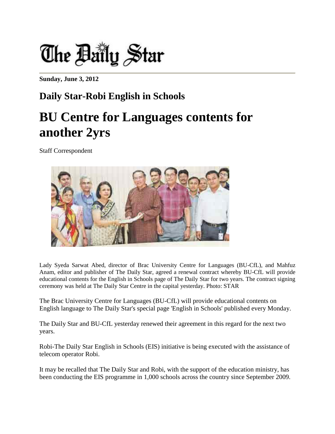

**Sunday, June 3, 2012** 

## **Daily Star-Robi English in Schools**

## **BU Centre for Languages contents for another 2yrs**

Staff Correspondent



Lady Syeda Sarwat Abed, director of Brac University Centre for Languages (BU-CfL), and Mahfuz Anam, editor and publisher of The Daily Star, agreed a renewal contract whereby BU-CfL will provide educational contents for the English in Schools page of The Daily Star for two years. The contract signing ceremony was held at The Daily Star Centre in the capital yesterday. Photo: STAR

The Brac University Centre for Languages (BU-CfL) will provide educational contents on English language to The Daily Star's special page 'English in Schools' published every Monday.

The Daily Star and BU-CfL yesterday renewed their agreement in this regard for the next two years.

Robi-The Daily Star English in Schools (EIS) initiative is being executed with the assistance of telecom operator Robi.

It may be recalled that The Daily Star and Robi, with the support of the education ministry, has been conducting the EIS programme in 1,000 schools across the country since September 2009.